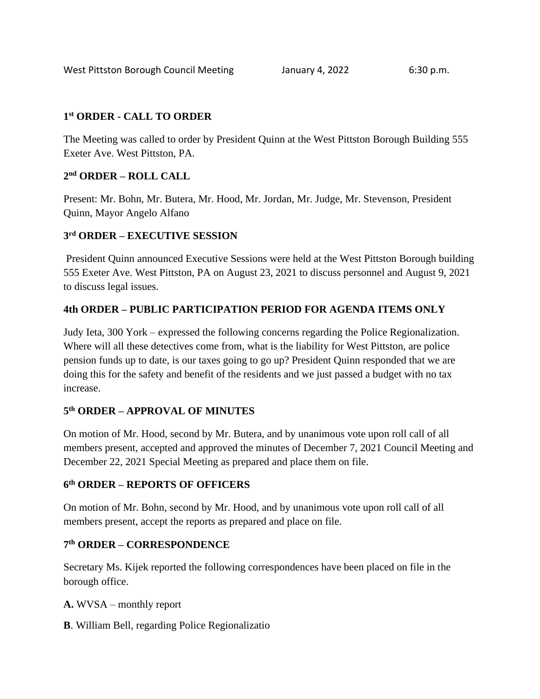### **1 st ORDER - CALL TO ORDER**

The Meeting was called to order by President Quinn at the West Pittston Borough Building 555 Exeter Ave. West Pittston, PA.

## **2 nd ORDER – ROLL CALL**

Present: Mr. Bohn, Mr. Butera, Mr. Hood, Mr. Jordan, Mr. Judge, Mr. Stevenson, President Quinn, Mayor Angelo Alfano

## **3 rd ORDER – EXECUTIVE SESSION**

President Quinn announced Executive Sessions were held at the West Pittston Borough building 555 Exeter Ave. West Pittston, PA on August 23, 2021 to discuss personnel and August 9, 2021 to discuss legal issues.

## **4th ORDER – PUBLIC PARTICIPATION PERIOD FOR AGENDA ITEMS ONLY**

Judy Ieta, 300 York – expressed the following concerns regarding the Police Regionalization. Where will all these detectives come from, what is the liability for West Pittston, are police pension funds up to date, is our taxes going to go up? President Quinn responded that we are doing this for the safety and benefit of the residents and we just passed a budget with no tax increase.

### **5 th ORDER – APPROVAL OF MINUTES**

On motion of Mr. Hood, second by Mr. Butera, and by unanimous vote upon roll call of all members present, accepted and approved the minutes of December 7, 2021 Council Meeting and December 22, 2021 Special Meeting as prepared and place them on file.

### **6 th ORDER – REPORTS OF OFFICERS**

On motion of Mr. Bohn, second by Mr. Hood, and by unanimous vote upon roll call of all members present, accept the reports as prepared and place on file.

### **7 th ORDER – CORRESPONDENCE**

Secretary Ms. Kijek reported the following correspondences have been placed on file in the borough office.

**A.** WVSA – monthly report

**B**. William Bell, regarding Police Regionalizatio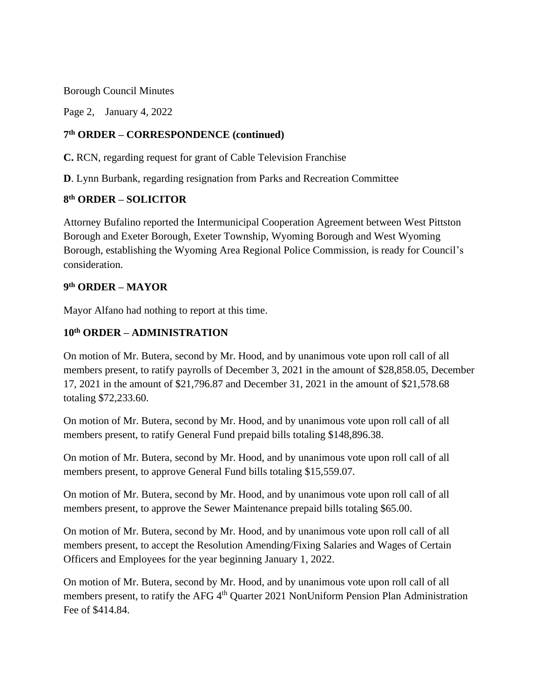Borough Council Minutes

Page 2, January 4, 2022

#### **7 th ORDER – CORRESPONDENCE (continued)**

**C.** RCN, regarding request for grant of Cable Television Franchise

**D**. Lynn Burbank, regarding resignation from Parks and Recreation Committee

#### **8 th ORDER – SOLICITOR**

Attorney Bufalino reported the Intermunicipal Cooperation Agreement between West Pittston Borough and Exeter Borough, Exeter Township, Wyoming Borough and West Wyoming Borough, establishing the Wyoming Area Regional Police Commission, is ready for Council's consideration.

#### **9 th ORDER – MAYOR**

Mayor Alfano had nothing to report at this time.

#### **10th ORDER – ADMINISTRATION**

On motion of Mr. Butera, second by Mr. Hood, and by unanimous vote upon roll call of all members present, to ratify payrolls of December 3, 2021 in the amount of \$28,858.05, December 17, 2021 in the amount of \$21,796.87 and December 31, 2021 in the amount of \$21,578.68 totaling \$72,233.60.

On motion of Mr. Butera, second by Mr. Hood, and by unanimous vote upon roll call of all members present, to ratify General Fund prepaid bills totaling \$148,896.38.

On motion of Mr. Butera, second by Mr. Hood, and by unanimous vote upon roll call of all members present, to approve General Fund bills totaling \$15,559.07.

On motion of Mr. Butera, second by Mr. Hood, and by unanimous vote upon roll call of all members present, to approve the Sewer Maintenance prepaid bills totaling \$65.00.

On motion of Mr. Butera, second by Mr. Hood, and by unanimous vote upon roll call of all members present, to accept the Resolution Amending/Fixing Salaries and Wages of Certain Officers and Employees for the year beginning January 1, 2022.

On motion of Mr. Butera, second by Mr. Hood, and by unanimous vote upon roll call of all members present, to ratify the AFG 4<sup>th</sup> Quarter 2021 NonUniform Pension Plan Administration Fee of \$414.84.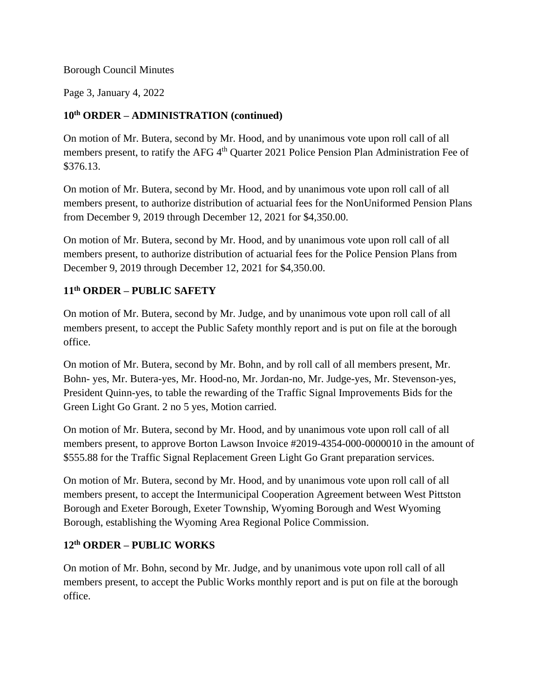#### Borough Council Minutes

Page 3, January 4, 2022

# **10th ORDER – ADMINISTRATION (continued)**

On motion of Mr. Butera, second by Mr. Hood, and by unanimous vote upon roll call of all members present, to ratify the AFG 4<sup>th</sup> Quarter 2021 Police Pension Plan Administration Fee of \$376.13.

On motion of Mr. Butera, second by Mr. Hood, and by unanimous vote upon roll call of all members present, to authorize distribution of actuarial fees for the NonUniformed Pension Plans from December 9, 2019 through December 12, 2021 for \$4,350.00.

On motion of Mr. Butera, second by Mr. Hood, and by unanimous vote upon roll call of all members present, to authorize distribution of actuarial fees for the Police Pension Plans from December 9, 2019 through December 12, 2021 for \$4,350.00.

# **11th ORDER – PUBLIC SAFETY**

On motion of Mr. Butera, second by Mr. Judge, and by unanimous vote upon roll call of all members present, to accept the Public Safety monthly report and is put on file at the borough office.

On motion of Mr. Butera, second by Mr. Bohn, and by roll call of all members present, Mr. Bohn- yes, Mr. Butera-yes, Mr. Hood-no, Mr. Jordan-no, Mr. Judge-yes, Mr. Stevenson-yes, President Quinn-yes, to table the rewarding of the Traffic Signal Improvements Bids for the Green Light Go Grant. 2 no 5 yes, Motion carried.

On motion of Mr. Butera, second by Mr. Hood, and by unanimous vote upon roll call of all members present, to approve Borton Lawson Invoice #2019-4354-000-0000010 in the amount of \$555.88 for the Traffic Signal Replacement Green Light Go Grant preparation services.

On motion of Mr. Butera, second by Mr. Hood, and by unanimous vote upon roll call of all members present, to accept the Intermunicipal Cooperation Agreement between West Pittston Borough and Exeter Borough, Exeter Township, Wyoming Borough and West Wyoming Borough, establishing the Wyoming Area Regional Police Commission.

### **12th ORDER – PUBLIC WORKS**

On motion of Mr. Bohn, second by Mr. Judge, and by unanimous vote upon roll call of all members present, to accept the Public Works monthly report and is put on file at the borough office.